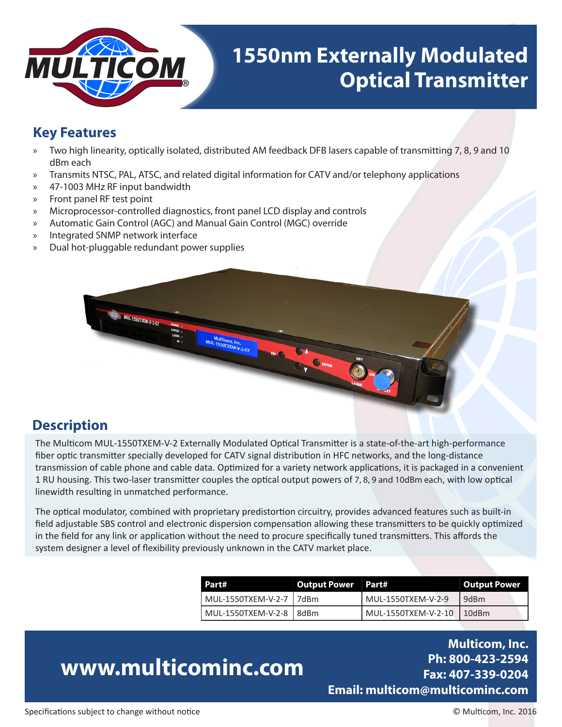

## **1550nm Externally Modulated Optical Transmitter**

#### **Key Features**

- » Two high linearity, optically isolated, distributed AM feedback DFB lasers capable of transmitting 7, 8, 9 and 10 dBm each
- » Transmits NTSC, PAL, ATSC, and related digital information for CATV and/or telephony applications
- » 47-1003 MHz RF input bandwidth
- » Front panel RF test point
- » Microprocessor-controlled diagnostics, front panel LCD display and controls
- » Automatic Gain Control (AGC) and Manual Gain Control (MGC) override
- » Integrated SNMP network interface
- » Dual hot-pluggable redundant power supplies



#### **Description**

The Multicom MUL-1550TXEM-V-2 Externally Modulated Optical Transmitter is a state-of-the-art high-performance fiber optic transmitter specially developed for CATV signal distribution in HFC networks, and the long-distance transmission of cable phone and cable data. Optimized for a variety network applications, it is packaged in a convenient 1 RU housing. This two-laser transmitter couples the optical output powers of 7, 8, 9 and 10dBm each, with low optical linewidth resulting in unmatched performance.

The optical modulator, combined with proprietary predistortion circuitry, provides advanced features such as built-in field adjustable SBS control and electronic dispersion compensation allowing these transmitters to be quickly optimized in the field for any link or application without the need to procure specifically tuned transmitters. This affords the system designer a level of flexibility previously unknown in the CATV market place.

| Part#                   | <b>Output Power Part#</b> |                           | Output Power |  |  |
|-------------------------|---------------------------|---------------------------|--------------|--|--|
| MUL-1550TXEM-V-2-7 7dBm |                           | MUL-1550TXEM-V-2-9        | 9dBm         |  |  |
| MUL-1550TXEM-V-2-8 8dBm |                           | MUL-1550TXEM-V-2-10 10dBm |              |  |  |

# **www.multicominc.com**

**Multicom, Inc. Ph: 800-423-2594 Fax: 407-339-0204 Email: multicom@multicominc.com**